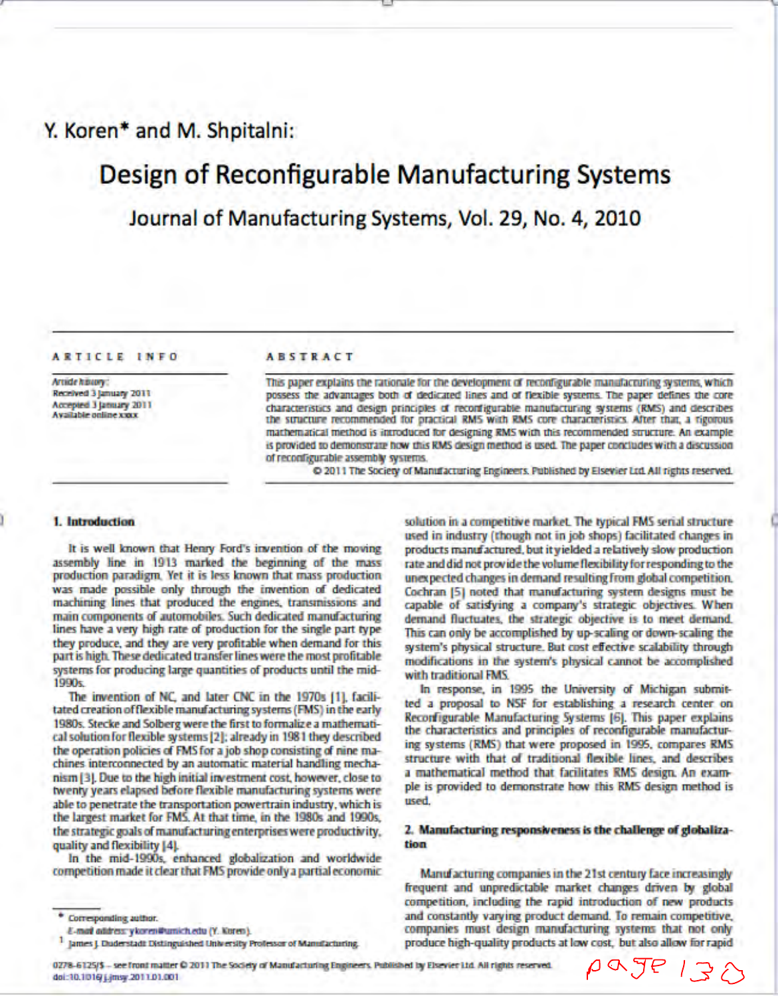# Y. Koren\* and M. Shpitalni:

# Design of Reconfigurable Manufacturing Systems Journal of Manufacturing Systems, Vol. 29, No. 4, 2010

### **ARTICLE INFO**

Article history: Received 3 January 2011 Accepted 3 January 2011 Available online xxxx

### **ABSTRACT**

This paper explains the rationale for the development of reconfigurable manufacturing systems, which possess the advantages both of dedicated lines and of flexible systems. The paper defines the core characteristics and design principles of reconfigurable manufacturing systems (RMS) and describes the structure recommended for practical RMS with RMS core characteristics. After that, a rigorous mathematical method is introduced for designing RMS with this recommended structure. An example is provided to demonstrate how this RMS design method is used. The paper concludes with a discussion of reconfigurable assembly systems.

2011 The Society of Manufacturing Engineers. Published by Elsevier Ltd. All rights reserved.

### 1. Introduction

It is well known that Henry Ford's invention of the moving assembly line in 1913 marked the beginning of the mass production paradigm. Yet it is less known that mass production was made possible only through the invention of dedicated machining lines that produced the engines, transmissions and main components of automobiles. Such dedicated manufacturing lines have a very high rate of production for the single part type they produce, and they are very profitable when demand for this part is high. These dedicated transfer lines were the most profitable systems for producing large quantities of products until the mid-1990s.

The invention of NC, and later CNC in the 1970s [1], facilitated creation of flexible manufacturing systems (FMS) in the early 1980s. Stecke and Solberg were the first to formalize a mathematical solution for flexible systems [2]; already in 1981 they described the operation policies of FMS for a job shop consisting of nine machines interconnected by an automatic material handling mechanism [3]. Due to the high initial investment cost, however, close to twenty years elapsed before flexible manufacturing systems were able to penetrate the transportation powertrain industry, which is the largest market for FMS. At that time, in the 1980s and 1990s, the strategic goals of manufacturing enterprises were productivity. quality and flexibility [4].

In the mid-1990s, enhanced globalization and worldwide competition made it clear that FMS provide only a partial economic

Corresponding author.

solution in a competitive market. The typical FMS serial structure used in industry (though not in job shops) facilitated changes in products manufactured, but it yielded a relatively slow production rate and did not provide the volume flexibility for responding to the unexpected changes in demand resulting from global competition. Cochran [5] noted that manufacturing system designs must be capable of satisfying a company's strategic objectives. When demand fluctuates, the strategic objective is to meet demand. This can only be accomplished by up-scaling or down-scaling the system's physical structure. But cost effective scalability through modifications in the system's physical cannot be accomplished with traditional FMS.

In response, in 1995 the University of Michigan submitted a proposal to NSF for establishing a research center on Reconfigurable Manufacturing Systems [6]. This paper explains the characteristics and principles of reconfigurable manufacturing systems (RMS) that were proposed in 1995, compares RMS structure with that of traditional flexible lines, and describes a mathematical method that facilitates RMS design. An example is provided to demonstrate how this RMS design method is used.

### 2. Manufacturing responsiveness is the challenge of globalization

Manufacturing companies in the 21st century face increasingly frequent and unpredictable market changes driven by global competition, including the rapid introduction of new products and constantly varying product demand. To remain competitive, companies must design manufacturing systems that not only produce high-quality products at low cost, but also allow for rapid

 $\rho$ a Je  $130$ 

0278-6125/\$ - see front matter @ 2011 The Society of Manufacturing Engineers. Published by Elsevier Ltd. All rights reserved. doi:10.1016/j.jmsy.2011.01.001

E-mail address ykonen@unich.edu (Y. Koren).

James J. Duderstadt Distinguished University Professor of Manufacturing.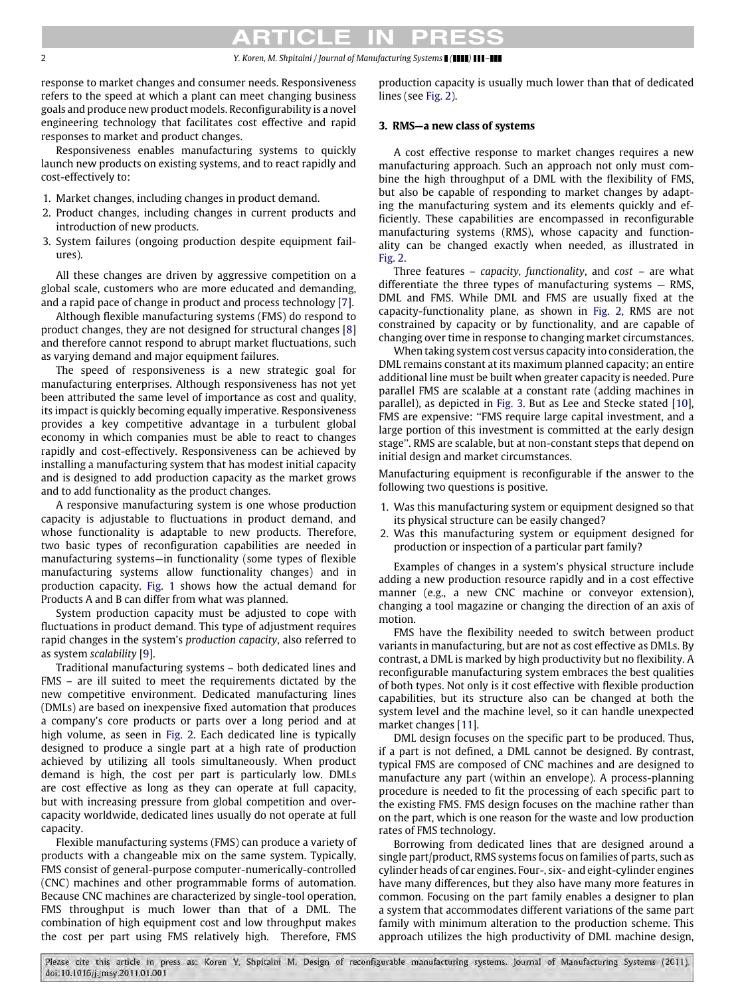# $\mathbf C$

### 2 *Y. Koren, M. Shpitalni / Journal of Manufacturing Systems ( ) –*

response to market changes and consumer needs. Responsiveness refers to the speed at which a plant can meet changing business goals and produce new product models. Reconfigurability is a novel engineering technology that facilitates cost effective and rapid responses to market and product changes.

Responsiveness enables manufacturing systems to quickly launch new products on existing systems, and to react rapidly and cost-effectively to:

- 1. Market changes, including changes in product demand.
- 2. Product changes, including changes in current products and introduction of new products.
- 3. System failures (ongoing production despite equipment failures).

All these changes are driven by aggressive competition on a global scale, customers who are more educated and demanding, and a rapid pace of change in product and process technology [\[7\]](#page-11-0).

Although flexible manufacturing systems (FMS) do respond to product changes, they are not designed for structural changes [\[8\]](#page-11-1) and therefore cannot respond to abrupt market fluctuations, such as varying demand and major equipment failures.

The speed of responsiveness is a new strategic goal for manufacturing enterprises. Although responsiveness has not yet been attributed the same level of importance as cost and quality, its impact is quickly becoming equally imperative. Responsiveness provides a key competitive advantage in a turbulent global economy in which companies must be able to react to changes rapidly and cost-effectively. Responsiveness can be achieved by installing a manufacturing system that has modest initial capacity and is designed to add production capacity as the market grows and to add functionality as the product changes.

A responsive manufacturing system is one whose production capacity is adjustable to fluctuations in product demand, and whose functionality is adaptable to new products. Therefore, two basic types of reconfiguration capabilities are needed in manufacturing systems—in functionality (some types of flexible manufacturing systems allow functionality changes) and in production capacity. [Fig. 1](#page-2-0) shows how the actual demand for Products A and B can differ from what was planned.

System production capacity must be adjusted to cope with fluctuations in product demand. This type of adjustment requires rapid changes in the system's *production capacity*, also referred to as system *scalability* [\[9\]](#page-11-2).

Traditional manufacturing systems – both dedicated lines and FMS – are ill suited to meet the requirements dictated by the new competitive environment. Dedicated manufacturing lines (DMLs) are based on inexpensive fixed automation that produces a company's core products or parts over a long period and at high volume, as seen in [Fig. 2.](#page-3-0) Each dedicated line is typically designed to produce a single part at a high rate of production achieved by utilizing all tools simultaneously. When product demand is high, the cost per part is particularly low. DMLs are cost effective as long as they can operate at full capacity, but with increasing pressure from global competition and overcapacity worldwide, dedicated lines usually do not operate at full capacity.

Flexible manufacturing systems (FMS) can produce a variety of products with a changeable mix on the same system. Typically, FMS consist of general-purpose computer-numerically-controlled (CNC) machines and other programmable forms of automation. Because CNC machines are characterized by single-tool operation, FMS throughput is much lower than that of a DML. The combination of high equipment cost and low throughput makes the cost per part using FMS relatively high. Therefore, FMS production capacity is usually much lower than that of dedicated lines (see [Fig. 2\)](#page-3-0).

### **3. RMS—a new class of systems**

A cost effective response to market changes requires a new manufacturing approach. Such an approach not only must combine the high throughput of a DML with the flexibility of FMS, but also be capable of responding to market changes by adapting the manufacturing system and its elements quickly and efficiently. These capabilities are encompassed in reconfigurable manufacturing systems (RMS), whose capacity and functionality can be changed exactly when needed, as illustrated in [Fig.](#page-3-0) 2.

Three features – *capacity, functionality*, and *cost* – are what differentiate the three types of manufacturing systems — RMS, DML and FMS. While DML and FMS are usually fixed at the capacity-functionality plane, as shown in [Fig. 2,](#page-3-0) RMS are not constrained by capacity or by functionality, and are capable of changing over time in response to changing market circumstances.

When taking system cost versus capacity into consideration, the DML remains constant at its maximum planned capacity; an entire additional line must be built when greater capacity is needed. Pure parallel FMS are scalable at a constant rate (adding machines in parallel), as depicted in [Fig. 3.](#page-3-1) But as Lee and Stecke stated [\[10\]](#page-11-3), FMS are expensive: "FMS require large capital investment, and a large portion of this investment is committed at the early design stage''. RMS are scalable, but at non-constant steps that depend on initial design and market circumstances.

Manufacturing equipment is reconfigurable if the answer to the following two questions is positive.

- 1. Was this manufacturing system or equipment designed so that its physical structure can be easily changed?
- 2. Was this manufacturing system or equipment designed for production or inspection of a particular part family?

Examples of changes in a system's physical structure include adding a new production resource rapidly and in a cost effective manner (e.g., a new CNC machine or conveyor extension), changing a tool magazine or changing the direction of an axis of motion.

FMS have the flexibility needed to switch between product variants in manufacturing, but are not as cost effective as DMLs. By contrast, a DML is marked by high productivity but no flexibility. A reconfigurable manufacturing system embraces the best qualities of both types. Not only is it cost effective with flexible production capabilities, but its structure also can be changed at both the system level and the machine level, so it can handle unexpected market changes [\[11\]](#page-11-4).

DML design focuses on the specific part to be produced. Thus, if a part is not defined, a DML cannot be designed. By contrast, typical FMS are composed of CNC machines and are designed to manufacture any part (within an envelope). A process-planning procedure is needed to fit the processing of each specific part to the existing FMS. FMS design focuses on the machine rather than on the part, which is one reason for the waste and low production rates of FMS technology.

Borrowing from dedicated lines that are designed around a single part/product, RMS systems focus on families of parts, such as cylinder heads of car engines. Four-, six- and eight-cylinder engines have many differences, but they also have many more features in common. Focusing on the part family enables a designer to plan a system that accommodates different variations of the same part family with minimum alteration to the production scheme. This approach utilizes the high productivity of DML machine design,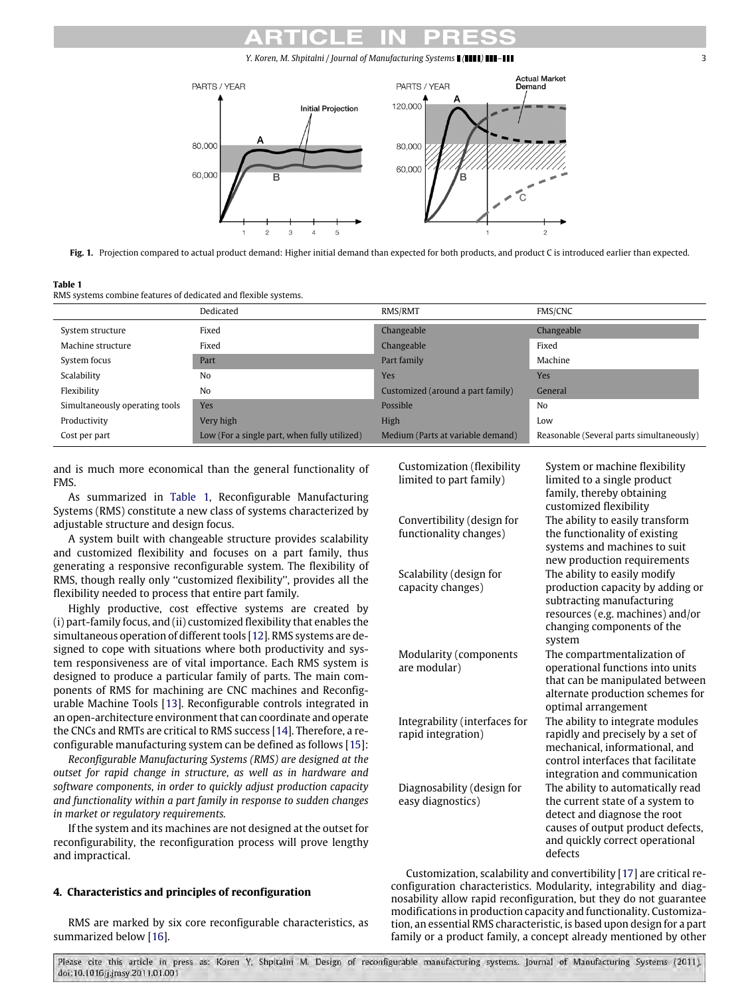*Y. Koren, M. Shpitalni / Journal of Manufacturing Systems ( ) –* 3

<span id="page-2-0"></span>

Fig. 1. Projection compared to actual product demand: Higher initial demand than expected for both products, and product C is introduced earlier than expected.

#### <span id="page-2-1"></span>**Table 1**

RMS systems combine features of dedicated and flexible systems.

|                                | Dedicated                                    | RMS/RMT                           | <b>FMS/CNC</b>                            |
|--------------------------------|----------------------------------------------|-----------------------------------|-------------------------------------------|
| System structure               | Fixed                                        | Changeable                        | Changeable                                |
| Machine structure              | Fixed                                        | Changeable                        | Fixed                                     |
| System focus                   | Part                                         | Part family                       | Machine                                   |
| Scalability                    | N <sub>0</sub>                               | <b>Yes</b>                        | Yes                                       |
| Flexibility                    | N <sub>0</sub>                               | Customized (around a part family) | General                                   |
| Simultaneously operating tools | <b>Yes</b>                                   | Possible                          | N <sub>0</sub>                            |
| Productivity                   | Very high                                    | High                              | Low                                       |
| Cost per part                  | Low (For a single part, when fully utilized) | Medium (Parts at variable demand) | Reasonable (Several parts simultaneously) |

and is much more economical than the general functionality of FMS.

As summarized in [Table](#page-2-1) 1, Reconfigurable Manufacturing Systems (RMS) constitute a new class of systems characterized by adjustable structure and design focus.

A system built with changeable structure provides scalability and customized flexibility and focuses on a part family, thus generating a responsive reconfigurable system. The flexibility of RMS, though really only ''customized flexibility'', provides all the flexibility needed to process that entire part family.

Highly productive, cost effective systems are created by (i) part-family focus, and (ii) customized flexibility that enables the simultaneous operation of different tools [\[12\]](#page-11-5). RMS systems are designed to cope with situations where both productivity and system responsiveness are of vital importance. Each RMS system is designed to produce a particular family of parts. The main components of RMS for machining are CNC machines and Reconfigurable Machine Tools [\[13\]](#page-11-6). Reconfigurable controls integrated in an open-architecture environment that can coordinate and operate the CNCs and RMTs are critical to RMS success [\[14\]](#page-11-7). Therefore, a reconfigurable manufacturing system can be defined as follows [\[15\]](#page-11-8):

*Reconfigurable Manufacturing Systems (RMS) are designed at the outset for rapid change in structure, as well as in hardware and software components, in order to quickly adjust production capacity and functionality within a part family in response to sudden changes in market or regulatory requirements.*

If the system and its machines are not designed at the outset for reconfigurability, the reconfiguration process will prove lengthy and impractical.

#### **4. Characteristics and principles of reconfiguration**

RMS are marked by six core reconfigurable characteristics, as summarized below [\[16\]](#page-11-9).

| Customization (flexibility<br>limited to part family) | System or machine flexibility<br>limited to a single product<br>family, thereby obtaining<br>customized flexibility                                                                      |
|-------------------------------------------------------|------------------------------------------------------------------------------------------------------------------------------------------------------------------------------------------|
| Convertibility (design for<br>functionality changes)  | The ability to easily transform<br>the functionality of existing<br>systems and machines to suit<br>new production requirements                                                          |
| Scalability (design for<br>capacity changes)          | The ability to easily modify<br>production capacity by adding or<br>subtracting manufacturing<br>resources (e.g. machines) and/or<br>changing components of the<br>system                |
| Modularity (components<br>are modular)                | The compartmentalization of<br>operational functions into units<br>that can be manipulated between<br>alternate production schemes for<br>optimal arrangement                            |
| Integrability (interfaces for<br>rapid integration)   | The ability to integrate modules<br>rapidly and precisely by a set of<br>mechanical, informational, and<br>control interfaces that facilitate<br>integration and communication           |
| Diagnosability (design for<br>easy diagnostics)       | The ability to automatically read<br>the current state of a system to<br>detect and diagnose the root<br>causes of output product defects,<br>and quickly correct operational<br>defects |

Customization, scalability and convertibility [\[17\]](#page-11-10) are critical reconfiguration characteristics. Modularity, integrability and diagnosability allow rapid reconfiguration, but they do not guarantee modifications in production capacity and functionality. Customization, an essential RMS characteristic, is based upon design for a part family or a product family, a concept already mentioned by other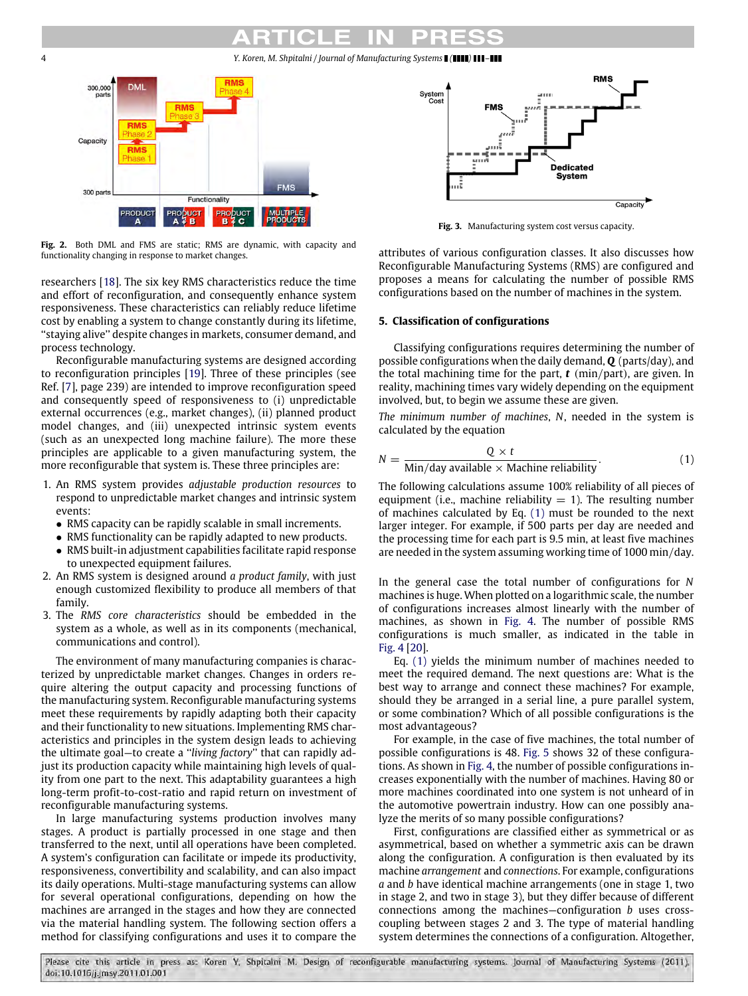<span id="page-3-0"></span>4 *Y. Koren, M. Shpitalni / Journal of Manufacturing Systems ( ) –*



**Fig. 2.** Both DML and FMS are static; RMS are dynamic, with capacity and functionality changing in response to market changes.

researchers [\[18\]](#page-11-11). The six key RMS characteristics reduce the time and effort of reconfiguration, and consequently enhance system responsiveness. These characteristics can reliably reduce lifetime cost by enabling a system to change constantly during its lifetime, ''staying alive'' despite changes in markets, consumer demand, and process technology.

Reconfigurable manufacturing systems are designed according to reconfiguration principles [\[19\]](#page-11-12). Three of these principles (see Ref. [\[7\]](#page-11-0), page 239) are intended to improve reconfiguration speed and consequently speed of responsiveness to (i) unpredictable external occurrences (e.g., market changes), (ii) planned product model changes, and (iii) unexpected intrinsic system events (such as an unexpected long machine failure). The more these principles are applicable to a given manufacturing system, the more reconfigurable that system is. These three principles are:

- 1. An RMS system provides *adjustable production resources* to respond to unpredictable market changes and intrinsic system events:
	- RMS capacity can be rapidly scalable in small increments.
	- RMS functionality can be rapidly adapted to new products.
	- RMS built-in adjustment capabilities facilitate rapid response to unexpected equipment failures.
- 2. An RMS system is designed around *a product family*, with just enough customized flexibility to produce all members of that family.
- 3. The *RMS core characteristics* should be embedded in the system as a whole, as well as in its components (mechanical, communications and control).

The environment of many manufacturing companies is characterized by unpredictable market changes. Changes in orders require altering the output capacity and processing functions of the manufacturing system. Reconfigurable manufacturing systems meet these requirements by rapidly adapting both their capacity and their functionality to new situations. Implementing RMS characteristics and principles in the system design leads to achieving the ultimate goal—to create a ''*living factory*'' that can rapidly adjust its production capacity while maintaining high levels of quality from one part to the next. This adaptability guarantees a high long-term profit-to-cost-ratio and rapid return on investment of reconfigurable manufacturing systems.

In large manufacturing systems production involves many stages. A product is partially processed in one stage and then transferred to the next, until all operations have been completed. A system's configuration can facilitate or impede its productivity, responsiveness, convertibility and scalability, and can also impact its daily operations. Multi-stage manufacturing systems can allow for several operational configurations, depending on how the machines are arranged in the stages and how they are connected via the material handling system. The following section offers a method for classifying configurations and uses it to compare the

<span id="page-3-1"></span>

**Fig. 3.** Manufacturing system cost versus capacity.

attributes of various configuration classes. It also discusses how Reconfigurable Manufacturing Systems (RMS) are configured and proposes a means for calculating the number of possible RMS configurations based on the number of machines in the system.

#### **5. Classification of configurations**

Classifying configurations requires determining the number of possible configurations when the daily demand, *Q* (parts/day), and the total machining time for the part, *t* (min/part), are given. In reality, machining times vary widely depending on the equipment involved, but, to begin we assume these are given.

*The minimum number of machines*, *N*, needed in the system is calculated by the equation

<span id="page-3-2"></span>
$$
N = \frac{Q \times t}{\text{Min/day available} \times \text{Machine reliability}}.
$$
 (1)

The following calculations assume 100% reliability of all pieces of equipment (i.e., machine reliability  $= 1$ ). The resulting number of machines calculated by Eq. [\(1\)](#page-3-2) must be rounded to the next larger integer. For example, if 500 parts per day are needed and the processing time for each part is 9.5 min, at least five machines are needed in the system assuming working time of 1000 min/day.

In the general case the total number of configurations for *N* machines is huge. When plotted on a logarithmic scale, the number of configurations increases almost linearly with the number of machines, as shown in [Fig. 4.](#page-4-0) The number of possible RMS configurations is much smaller, as indicated in the table in [Fig. 4](#page-4-0) [\[20\]](#page-11-13).

Eq. [\(1\)](#page-3-2) yields the minimum number of machines needed to meet the required demand. The next questions are: What is the best way to arrange and connect these machines? For example, should they be arranged in a serial line, a pure parallel system, or some combination? Which of all possible configurations is the most advantageous?

For example, in the case of five machines, the total number of possible configurations is 48. [Fig. 5](#page-4-1) shows 32 of these configurations. As shown in [Fig. 4,](#page-4-0) the number of possible configurations increases exponentially with the number of machines. Having 80 or more machines coordinated into one system is not unheard of in the automotive powertrain industry. How can one possibly analyze the merits of so many possible configurations?

First, configurations are classified either as symmetrical or as asymmetrical, based on whether a symmetric axis can be drawn along the configuration. A configuration is then evaluated by its machine *arrangement* and *connections*. For example, configurations *a* and *b* have identical machine arrangements (one in stage 1, two in stage 2, and two in stage 3), but they differ because of different connections among the machines—configuration *b* uses crosscoupling between stages 2 and 3. The type of material handling system determines the connections of a configuration. Altogether,

Please cite this article in press as: Koren Y, Shpitalni M. Design of reconfigurable manufacturing systems. Journal of Manufacturing Systems (2011), doi:10.1016/j.jmsy.2011.01.001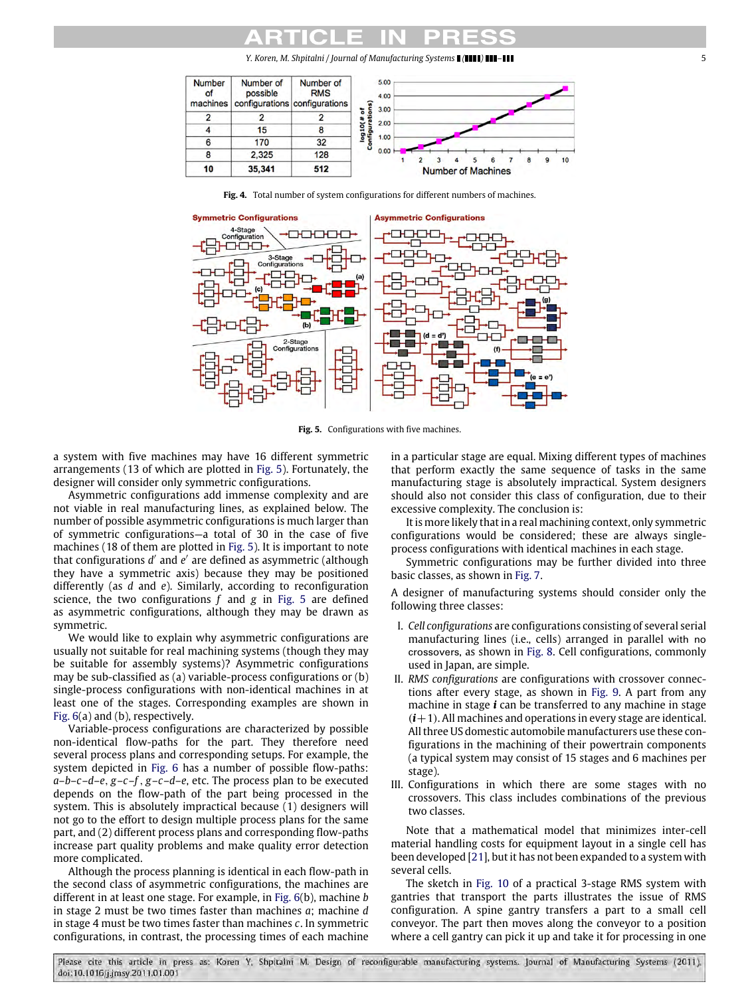*Y. Koren, M. Shpitalni / Journal of Manufacturing Systems ( ) –* 5

<span id="page-4-0"></span>

**Fig. 4.** Total number of system configurations for different numbers of machines.

<span id="page-4-1"></span>

**Fig. 5.** Configurations with five machines.

a system with five machines may have 16 different symmetric arrangements (13 of which are plotted in [Fig. 5\)](#page-4-1). Fortunately, the designer will consider only symmetric configurations.

Asymmetric configurations add immense complexity and are not viable in real manufacturing lines, as explained below. The number of possible asymmetric configurations is much larger than of symmetric configurations—a total of 30 in the case of five machines (18 of them are plotted in [Fig. 5\)](#page-4-1). It is important to note that configurations *d* ′ and *e* ′ are defined as asymmetric (although they have a symmetric axis) because they may be positioned differently (as *d* and *e*). Similarly, according to reconfiguration science, the two configurations *f* and *g* in [Fig. 5](#page-4-1) are defined as asymmetric configurations, although they may be drawn as symmetric.

We would like to explain why asymmetric configurations are usually not suitable for real machining systems (though they may be suitable for assembly systems)? Asymmetric configurations may be sub-classified as (a) variable-process configurations or (b) single-process configurations with non-identical machines in at least one of the stages. Corresponding examples are shown in [Fig. 6\(](#page-5-0)a) and (b), respectively.

Variable-process configurations are characterized by possible non-identical flow-paths for the part. They therefore need several process plans and corresponding setups. For example, the system depicted in [Fig. 6](#page-5-0) has a number of possible flow-paths: *a*–*b*–*c*–*d*–*e*, *g*–*c*–*f* , *g*–*c*–*d*–*e*, etc. The process plan to be executed depends on the flow-path of the part being processed in the system. This is absolutely impractical because (1) designers will not go to the effort to design multiple process plans for the same part, and (2) different process plans and corresponding flow-paths increase part quality problems and make quality error detection more complicated.

Although the process planning is identical in each flow-path in the second class of asymmetric configurations, the machines are different in at least one stage. For example, in [Fig. 6\(](#page-5-0)b), machine *b* in stage 2 must be two times faster than machines *a*; machine *d* in stage 4 must be two times faster than machines *c*. In symmetric configurations, in contrast, the processing times of each machine in a particular stage are equal. Mixing different types of machines that perform exactly the same sequence of tasks in the same manufacturing stage is absolutely impractical. System designers should also not consider this class of configuration, due to their excessive complexity. The conclusion is:

It is more likely that in a real machining context, only symmetric configurations would be considered; these are always singleprocess configurations with identical machines in each stage.

Symmetric configurations may be further divided into three basic classes, as shown in [Fig. 7.](#page-5-1)

A designer of manufacturing systems should consider only the following three classes:

- I. *Cell configurations* are configurations consisting of several serial manufacturing lines (i.e., cells) arranged in parallel with no crossovers, as shown in [Fig. 8.](#page-5-2) Cell configurations, commonly used in Japan, are simple.
- II. *RMS configurations* are configurations with crossover connections after every stage, as shown in [Fig. 9.](#page-5-3) A part from any machine in stage *i* can be transferred to any machine in stage (*i*+1). All machines and operations in every stage are identical. All three US domestic automobile manufacturers use these configurations in the machining of their powertrain components (a typical system may consist of 15 stages and 6 machines per stage).
- III. Configurations in which there are some stages with no crossovers. This class includes combinations of the previous two classes.

Note that a mathematical model that minimizes inter-cell material handling costs for equipment layout in a single cell has been developed [\[21\]](#page-11-14), but it has not been expanded to a system with several cells.

The sketch in [Fig. 10](#page-5-4) of a practical 3-stage RMS system with gantries that transport the parts illustrates the issue of RMS configuration. A spine gantry transfers a part to a small cell conveyor. The part then moves along the conveyor to a position where a cell gantry can pick it up and take it for processing in one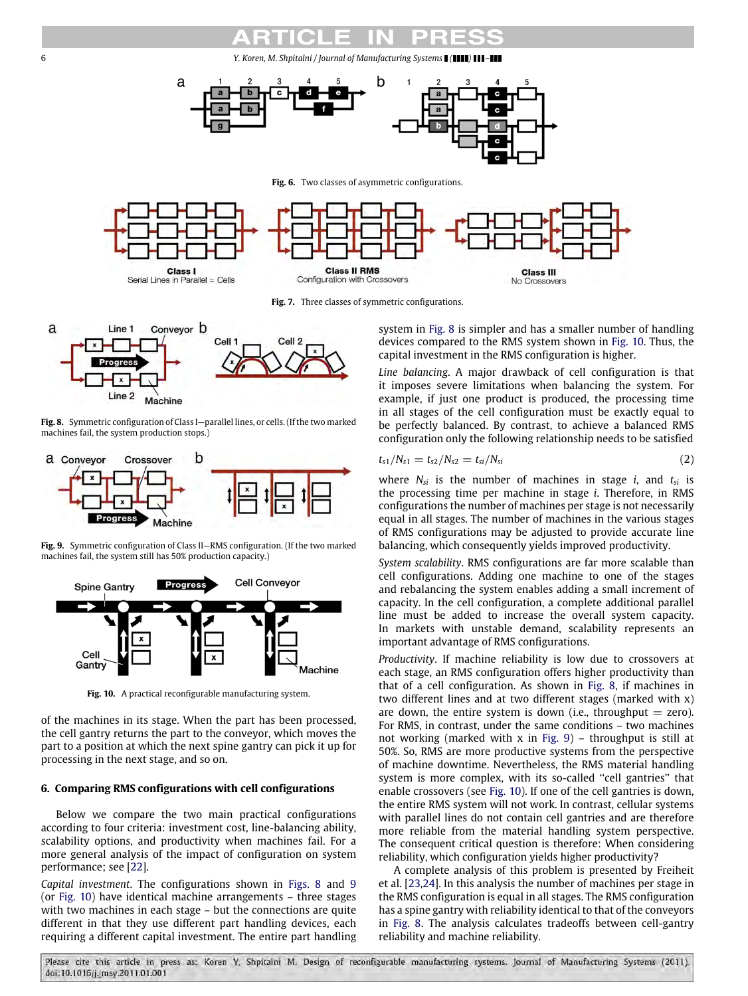<span id="page-5-0"></span>

<span id="page-5-1"></span>

**Fig. 7.** Three classes of symmetric configurations.

<span id="page-5-2"></span>

**Fig. 8.** Symmetric configuration of Class I—parallel lines, or cells. (If the two marked machines fail, the system production stops.)

<span id="page-5-3"></span>

**Fig. 9.** Symmetric configuration of Class II—RMS configuration. (If the two marked machines fail, the system still has 50% production capacity.)

<span id="page-5-4"></span>

**Fig. 10.** A practical reconfigurable manufacturing system.

of the machines in its stage. When the part has been processed, the cell gantry returns the part to the conveyor, which moves the part to a position at which the next spine gantry can pick it up for processing in the next stage, and so on.

#### **6. Comparing RMS configurations with cell configurations**

Below we compare the two main practical configurations according to four criteria: investment cost, line-balancing ability, scalability options, and productivity when machines fail. For a more general analysis of the impact of configuration on system performance; see [\[22\]](#page-11-15).

*Capital investment*. The configurations shown in [Figs. 8](#page-5-2) and [9](#page-5-3) (or [Fig.](#page-5-4) 10) have identical machine arrangements – three stages with two machines in each stage – but the connections are quite different in that they use different part handling devices, each requiring a different capital investment. The entire part handling system in [Fig. 8](#page-5-2) is simpler and has a smaller number of handling devices compared to the RMS system shown in [Fig. 10.](#page-5-4) Thus, the capital investment in the RMS configuration is higher.

*Line balancing*. A major drawback of cell configuration is that it imposes severe limitations when balancing the system. For example, if just one product is produced, the processing time in all stages of the cell configuration must be exactly equal to be perfectly balanced. By contrast, to achieve a balanced RMS configuration only the following relationship needs to be satisfied

$$
t_{s1}/N_{s1} = t_{s2}/N_{s2} = t_{si}/N_{si}
$$
 (2)

where *Nsi* is the number of machines in stage *i*, and *tsi* is the processing time per machine in stage *i*. Therefore, in RMS configurations the number of machines per stage is not necessarily equal in all stages. The number of machines in the various stages of RMS configurations may be adjusted to provide accurate line balancing, which consequently yields improved productivity.

*System scalability*. RMS configurations are far more scalable than cell configurations. Adding one machine to one of the stages and rebalancing the system enables adding a small increment of capacity. In the cell configuration, a complete additional parallel line must be added to increase the overall system capacity. In markets with unstable demand, scalability represents an important advantage of RMS configurations.

*Productivity*. If machine reliability is low due to crossovers at each stage, an RMS configuration offers higher productivity than that of a cell configuration. As shown in [Fig. 8,](#page-5-2) if machines in two different lines and at two different stages (marked with x) are down, the entire system is down (i.e., throughput  $=$  zero). For RMS, in contrast, under the same conditions – two machines not working (marked with x in [Fig. 9\)](#page-5-3) – throughput is still at 50%. So, RMS are more productive systems from the perspective of machine downtime. Nevertheless, the RMS material handling system is more complex, with its so-called ''cell gantries'' that enable crossovers (see [Fig. 10\)](#page-5-4). If one of the cell gantries is down, the entire RMS system will not work. In contrast, cellular systems with parallel lines do not contain cell gantries and are therefore more reliable from the material handling system perspective. The consequent critical question is therefore: When considering reliability, which configuration yields higher productivity?

A complete analysis of this problem is presented by Freiheit et al. [\[23,](#page-11-16)[24\]](#page-11-17). In this analysis the number of machines per stage in the RMS configuration is equal in all stages. The RMS configuration has a spine gantry with reliability identical to that of the conveyors in [Fig. 8.](#page-5-2) The analysis calculates tradeoffs between cell-gantry reliability and machine reliability.

Please cite this article in press as: Koren Y, Shpitalni M. Design of reconfigurable manufacturing systems. Journal of Manufacturing Systems (2011), doi:10.1016/j.jmsy.2011.01.001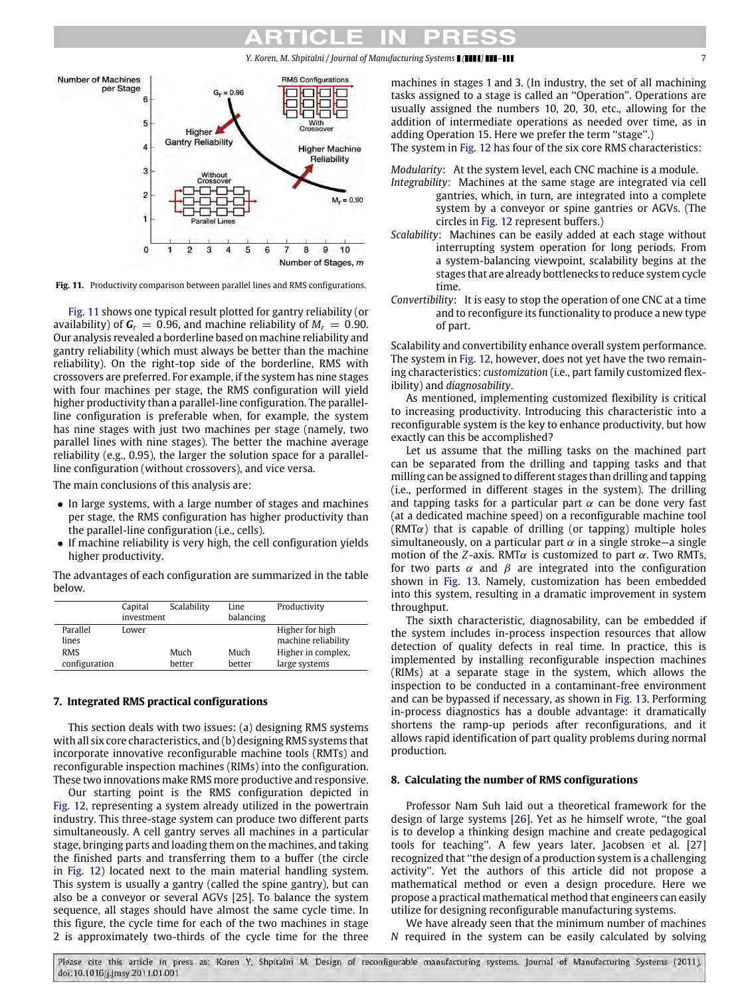<span id="page-6-0"></span>

**Fig. 11.** Productivity comparison between parallel lines and RMS configurations.

[Fig. 11](#page-6-0) shows one typical result plotted for gantry reliability (or availability) of  $G_r = 0.96$ , and machine reliability of  $M_r = 0.90$ . Our analysis revealed a borderline based on machine reliability and gantry reliability (which must always be better than the machine reliability). On the right-top side of the borderline, RMS with crossovers are preferred. For example, if the system has nine stages with four machines per stage, the RMS configuration will yield higher productivity than a parallel-line configuration. The parallelline configuration is preferable when, for example, the system has nine stages with just two machines per stage (namely, two parallel lines with nine stages). The better the machine average reliability (e.g., 0.95), the larger the solution space for a parallelline configuration (without crossovers), and vice versa.

The main conclusions of this analysis are:

- In large systems, with a large number of stages and machines per stage, the RMS configuration has higher productivity than the parallel-line configuration (i.e., cells).
- If machine reliability is very high, the cell configuration yields higher productivity.

The advantages of each configuration are summarized in the table below.

|                             | Capital<br>investment | Scalability    | Line<br>balancing | Productivity                           |
|-----------------------------|-----------------------|----------------|-------------------|----------------------------------------|
| Parallel<br>lines           | Lower                 |                |                   | Higher for high<br>machine reliability |
| <b>RMS</b><br>configuration |                       | Much<br>better | Much<br>hetter    | Higher in complex,<br>large systems    |

#### **7. Integrated RMS practical configurations**

This section deals with two issues: (a) designing RMS systems with all six core characteristics, and (b) designing RMS systems that incorporate innovative reconfigurable machine tools (RMTs) and reconfigurable inspection machines (RIMs) into the configuration. These two innovations make RMS more productive and responsive.

Our starting point is the RMS configuration depicted in [Fig.](#page-7-0) 12, representing a system already utilized in the powertrain industry. This three-stage system can produce two different parts simultaneously. A cell gantry serves all machines in a particular stage, bringing parts and loading them on the machines, and taking the finished parts and transferring them to a buffer (the circle in [Fig. 12\)](#page-7-0) located next to the main material handling system. This system is usually a gantry (called the spine gantry), but can also be a conveyor or several AGVs [\[25\]](#page-11-18). To balance the system sequence, all stages should have almost the same cycle time. In this figure, the cycle time for each of the two machines in stage 2 is approximately two-thirds of the cycle time for the three

machines in stages 1 and 3. (In industry, the set of all machining tasks assigned to a stage is called an ''Operation''. Operations are usually assigned the numbers 10, 20, 30, etc., allowing for the addition of intermediate operations as needed over time, as in adding Operation 15. Here we prefer the term ''stage''.)

The system in [Fig. 12](#page-7-0) has four of the six core RMS characteristics:

*Modularity*: At the system level, each CNC machine is a module.

- *Integrability*: Machines at the same stage are integrated via cell gantries, which, in turn, are integrated into a complete system by a conveyor or spine gantries or AGVs. (The circles in [Fig. 12](#page-7-0) represent buffers.)
- *Scalability*: Machines can be easily added at each stage without interrupting system operation for long periods. From a system-balancing viewpoint, scalability begins at the stages that are already bottlenecks to reduce system cycle time.
- *Convertibility*: It is easy to stop the operation of one CNC at a time and to reconfigure its functionality to produce a new type of part.

Scalability and convertibility enhance overall system performance. The system in [Fig. 12,](#page-7-0) however, does not yet have the two remaining characteristics: *customization* (i.e., part family customized flexibility) and *diagnosability*.

As mentioned, implementing customized flexibility is critical to increasing productivity. Introducing this characteristic into a reconfigurable system is the key to enhance productivity, but how exactly can this be accomplished?

Let us assume that the milling tasks on the machined part can be separated from the drilling and tapping tasks and that milling can be assigned to different stages than drilling and tapping (i.e., performed in different stages in the system). The drilling and tapping tasks for a particular part  $\alpha$  can be done very fast (at a dedicated machine speed) on a reconfigurable machine tool (RMT $\alpha$ ) that is capable of drilling (or tapping) multiple holes simultaneously, on a particular part  $\alpha$  in a single stroke—a single motion of the *Z*-axis. RMT $\alpha$  is customized to part  $\alpha$ . Two RMTs, for two parts  $\alpha$  and  $\beta$  are integrated into the configuration shown in [Fig. 13.](#page-7-1) Namely, customization has been embedded into this system, resulting in a dramatic improvement in system throughput.

The sixth characteristic, diagnosability, can be embedded if the system includes in-process inspection resources that allow detection of quality defects in real time. In practice, this is implemented by installing reconfigurable inspection machines (RIMs) at a separate stage in the system, which allows the inspection to be conducted in a contaminant-free environment and can be bypassed if necessary, as shown in [Fig. 13.](#page-7-1) Performing in-process diagnostics has a double advantage: it dramatically shortens the ramp-up periods after reconfigurations, and it allows rapid identification of part quality problems during normal production.

#### **8. Calculating the number of RMS configurations**

Professor Nam Suh laid out a theoretical framework for the design of large systems [\[26\]](#page-11-19). Yet as he himself wrote, ''the goal is to develop a thinking design machine and create pedagogical tools for teaching''. A few years later, Jacobsen et al. [\[27\]](#page-11-20) recognized that ''the design of a production system is a challenging activity''. Yet the authors of this article did not propose a mathematical method or even a design procedure. Here we propose a practical mathematical method that engineers can easily utilize for designing reconfigurable manufacturing systems.

We have already seen that the minimum number of machines *N* required in the system can be easily calculated by solving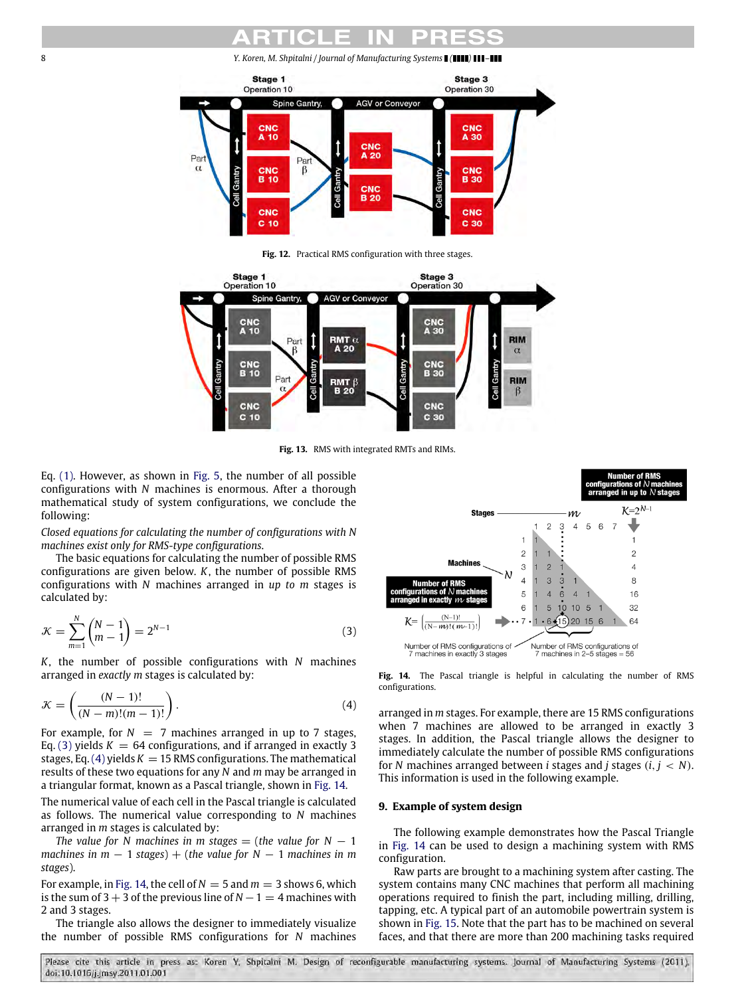<span id="page-7-0"></span>

**Fig. 12.** Practical RMS configuration with three stages.

<span id="page-7-1"></span>

**Fig. 13.** RMS with integrated RMTs and RIMs.

Eq. [\(1\).](#page-3-2) However, as shown in [Fig. 5,](#page-4-1) the number of all possible configurations with *N* machines is enormous. After a thorough mathematical study of system configurations, we conclude the following:

*Closed equations for calculating the number of configurations with N machines exist only for RMS-type configurations*.

The basic equations for calculating the number of possible RMS configurations are given below. *K*, the number of possible RMS configurations with *N* machines arranged in *up to m* stages is calculated by:

$$
\mathcal{K} = \sum_{m=1}^{N} {N-1 \choose m-1} = 2^{N-1}
$$
\n(3)

*K*, the number of possible configurations with *N* machines arranged in *exactly m* stages is calculated by:

$$
\mathcal{K} = \left(\frac{(N-1)!}{(N-m)!(m-1)!}\right). \tag{4}
$$

For example, for  $N = 7$  machines arranged in up to 7 stages, Eq. [\(3\)](#page-7-2) yields  $K = 64$  configurations, and if arranged in exactly 3 stages, Eq.  $(4)$  yields  $K = 15$  RMS configurations. The mathematical results of these two equations for any *N* and *m* may be arranged in a triangular format, known as a Pascal triangle, shown in [Fig. 14.](#page-7-4)

The numerical value of each cell in the Pascal triangle is calculated as follows. The numerical value corresponding to *N* machines arranged in *m* stages is calculated by:

*The value for N machines in m stages* = (*the value for N*  $-1$  $machine s$  *in m* − 1 *stages*) + (*the value for*  $N - 1$  *machines in m stages*).

For example, in [Fig. 14,](#page-7-4) the cell of  $N = 5$  and  $m = 3$  shows 6, which is the sum of  $3 + 3$  of the previous line of  $N - 1 = 4$  machines with 2 and 3 stages.

The triangle also allows the designer to immediately visualize the number of possible RMS configurations for *N* machines

<span id="page-7-4"></span>

<span id="page-7-3"></span><span id="page-7-2"></span>**Fig. 14.** The Pascal triangle is helpful in calculating the number of RMS configurations.

arranged in *m* stages. For example, there are 15 RMS configurations when 7 machines are allowed to be arranged in exactly 3 stages. In addition, the Pascal triangle allows the designer to immediately calculate the number of possible RMS configurations for *N* machines arranged between *i* stages and *j* stages  $(i, j < N)$ . This information is used in the following example.

#### **9. Example of system design**

The following example demonstrates how the Pascal Triangle in [Fig. 14](#page-7-4) can be used to design a machining system with RMS configuration.

Raw parts are brought to a machining system after casting. The system contains many CNC machines that perform all machining operations required to finish the part, including milling, drilling, tapping, etc. A typical part of an automobile powertrain system is shown in [Fig. 15.](#page-8-0) Note that the part has to be machined on several faces, and that there are more than 200 machining tasks required

Please cite this article in press as: Koren Y, Shpitalni M. Design of reconfigurable manufacturing systems. Journal of Manufacturing Systems (2011), doi:10.1016/j.jmsy.2011.01.001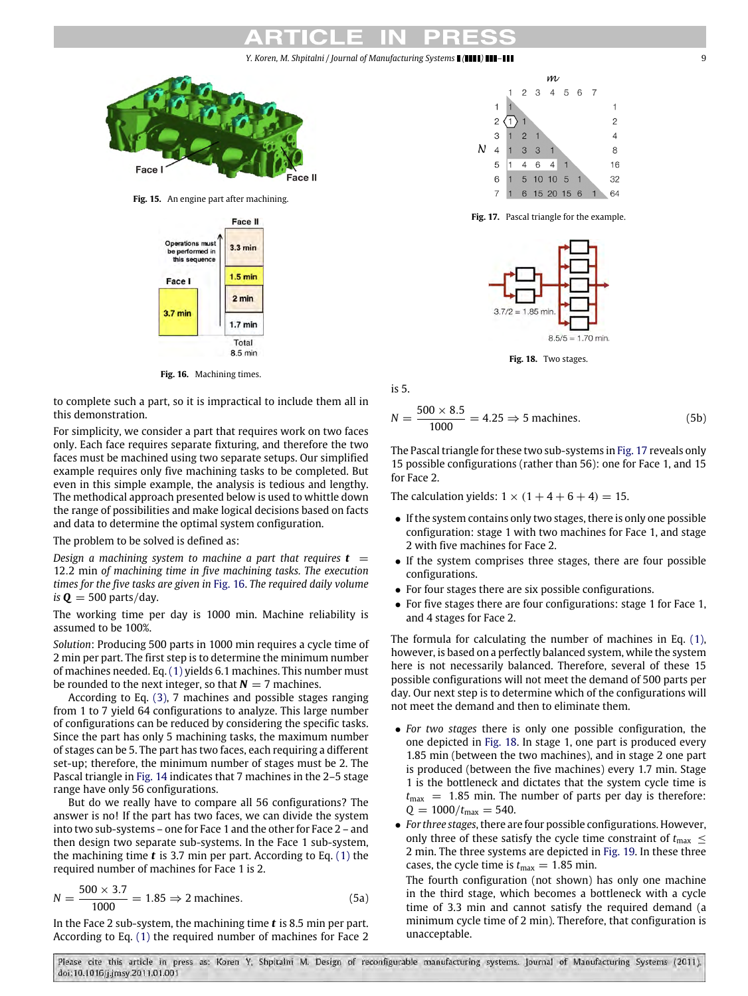<span id="page-8-0"></span>

<span id="page-8-1"></span>**Fig. 15.** An engine part after machining.



**Fig. 16.** Machining times.

to complete such a part, so it is impractical to include them all in this demonstration.

For simplicity, we consider a part that requires work on two faces only. Each face requires separate fixturing, and therefore the two faces must be machined using two separate setups. Our simplified example requires only five machining tasks to be completed. But even in this simple example, the analysis is tedious and lengthy. The methodical approach presented below is used to whittle down the range of possibilities and make logical decisions based on facts and data to determine the optimal system configuration.

The problem to be solved is defined as:

*Design a machining system to machine a part that requires*  $t =$ 12.2 min *of machining time in five machining tasks. The execution times for the five tasks are given in* [Fig.](#page-8-1) 16. *The required daily volume is*  $\mathbf{0} = 500$  parts/day.

The working time per day is 1000 min. Machine reliability is assumed to be 100%.

*Solution*: Producing 500 parts in 1000 min requires a cycle time of 2 min per part. The first step is to determine the minimum number of machines needed. Eq. [\(1\)](#page-3-2) yields 6.1 machines. This number must be rounded to the next integer, so that  $N = 7$  machines.

According to Eq. [\(3\),](#page-7-2) 7 machines and possible stages ranging from 1 to 7 yield 64 configurations to analyze. This large number of configurations can be reduced by considering the specific tasks. Since the part has only 5 machining tasks, the maximum number of stages can be 5. The part has two faces, each requiring a different set-up; therefore, the minimum number of stages must be 2. The Pascal triangle in [Fig. 14](#page-7-4) indicates that 7 machines in the 2–5 stage range have only 56 configurations.

But do we really have to compare all 56 configurations? The answer is no! If the part has two faces, we can divide the system into two sub-systems – one for Face 1 and the other for Face 2 – and then design two separate sub-systems. In the Face 1 sub-system, the machining time *t* is 3.7 min per part. According to Eq. [\(1\)](#page-3-2) the required number of machines for Face 1 is 2.

$$
N = \frac{500 \times 3.7}{1000} = 1.85 \Rightarrow 2 \text{ machines.}
$$
 (5a)

In the Face 2 sub-system, the machining time *t* is 8.5 min per part. According to Eq. [\(1\)](#page-3-2) the required number of machines for Face 2

<span id="page-8-2"></span>

<span id="page-8-3"></span>**Fig. 17.** Pascal triangle for the example.



**Fig. 18.** Two stages.

is 5.

$$
N = \frac{500 \times 8.5}{1000} = 4.25 \Rightarrow 5 \text{ machines.}
$$
 (5b)

The Pascal triangle for these two sub-systems in [Fig. 17](#page-8-2) reveals only 15 possible configurations (rather than 56): one for Face 1, and 15 for Face 2.

The calculation yields:  $1 \times (1 + 4 + 6 + 4) = 15$ .

- If the system contains only two stages, there is only one possible configuration: stage 1 with two machines for Face 1, and stage 2 with five machines for Face 2.
- If the system comprises three stages, there are four possible configurations.
- For four stages there are six possible configurations.
- For five stages there are four configurations: stage 1 for Face 1, and 4 stages for Face 2.

The formula for calculating the number of machines in Eq. [\(1\),](#page-3-2) however, is based on a perfectly balanced system, while the system here is not necessarily balanced. Therefore, several of these 15 possible configurations will not meet the demand of 500 parts per day. Our next step is to determine which of the configurations will not meet the demand and then to eliminate them.

- *For two stages* there is only one possible configuration, the one depicted in [Fig. 18.](#page-8-3) In stage 1, one part is produced every 1.85 min (between the two machines), and in stage 2 one part is produced (between the five machines) every 1.7 min. Stage 1 is the bottleneck and dictates that the system cycle time is  $t_{\text{max}}$  = 1.85 min. The number of parts per day is therefore:  $Q = 1000/t_{\text{max}} = 540.$
- *For three stages*, there are four possible configurations. However, only three of these satisfy the cycle time constraint of  $t_{\text{max}} \leq$ 2 min. The three systems are depicted in [Fig. 19.](#page-9-0) In these three cases, the cycle time is  $t_{\text{max}} = 1.85$  min.

The fourth configuration (not shown) has only one machine in the third stage, which becomes a bottleneck with a cycle time of 3.3 min and cannot satisfy the required demand (a minimum cycle time of 2 min). Therefore, that configuration is unacceptable.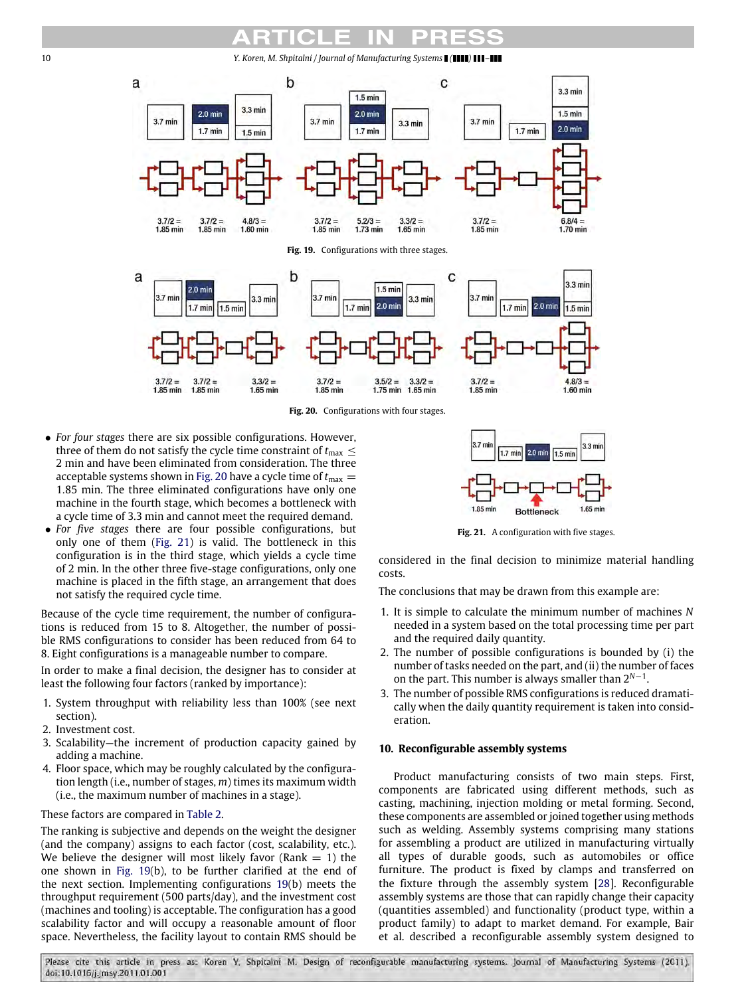<span id="page-9-0"></span>

**Fig. 20.** Configurations with four stages.

- <span id="page-9-1"></span>• *For four stages* there are six possible configurations. However, three of them do not satisfy the cycle time constraint of  $t_{\text{max}} \leq$ 2 min and have been eliminated from consideration. The three acceptable systems shown in [Fig.](#page-9-1) 20 have a cycle time of  $t_{\text{max}} =$ 1.85 min. The three eliminated configurations have only one machine in the fourth stage, which becomes a bottleneck with a cycle time of 3.3 min and cannot meet the required demand.
- *For five stages* there are four possible configurations, but only one of them [\(Fig.](#page-9-2) 21) is valid. The bottleneck in this configuration is in the third stage, which yields a cycle time of 2 min. In the other three five-stage configurations, only one machine is placed in the fifth stage, an arrangement that does not satisfy the required cycle time.

Because of the cycle time requirement, the number of configurations is reduced from 15 to 8. Altogether, the number of possible RMS configurations to consider has been reduced from 64 to 8. Eight configurations is a manageable number to compare.

In order to make a final decision, the designer has to consider at least the following four factors (ranked by importance):

- 1. System throughput with reliability less than 100% (see next section).
- 2. Investment cost.
- 3. Scalability—the increment of production capacity gained by adding a machine.
- 4. Floor space, which may be roughly calculated by the configuration length (i.e., number of stages, *m*) times its maximum width (i.e., the maximum number of machines in a stage).

#### These factors are compared in [Table 2.](#page-10-0)

The ranking is subjective and depends on the weight the designer (and the company) assigns to each factor (cost, scalability, etc.). We believe the designer will most likely favor (Rank  $= 1$ ) the one shown in [Fig. 19\(](#page-9-0)b), to be further clarified at the end of the next section. Implementing configurations [19\(](#page-9-0)b) meets the throughput requirement (500 parts/day), and the investment cost (machines and tooling) is acceptable. The configuration has a good scalability factor and will occupy a reasonable amount of floor space. Nevertheless, the facility layout to contain RMS should be

<span id="page-9-2"></span>

**Fig. 21.** A configuration with five stages.

considered in the final decision to minimize material handling costs.

The conclusions that may be drawn from this example are:

- 1. It is simple to calculate the minimum number of machines *N* needed in a system based on the total processing time per part and the required daily quantity.
- 2. The number of possible configurations is bounded by (i) the number of tasks needed on the part, and (ii) the number of faces on the part. This number is always smaller than 2*<sup>N</sup>*−<sup>1</sup> .
- 3. The number of possible RMS configurations is reduced dramatically when the daily quantity requirement is taken into consideration.

### **10. Reconfigurable assembly systems**

Product manufacturing consists of two main steps. First, components are fabricated using different methods, such as casting, machining, injection molding or metal forming. Second, these components are assembled or joined together using methods such as welding. Assembly systems comprising many stations for assembling a product are utilized in manufacturing virtually all types of durable goods, such as automobiles or office furniture. The product is fixed by clamps and transferred on the fixture through the assembly system [\[28\]](#page-11-21). Reconfigurable assembly systems are those that can rapidly change their capacity (quantities assembled) and functionality (product type, within a product family) to adapt to market demand. For example, Bair et al. described a reconfigurable assembly system designed to

Please cite this article in press as: Koren Y, Shpitalni M. Design of reconfigurable manufacturing systems. Journal of Manufacturing Systems (2011). doi:10.1016/j.jmsy.2011.01.001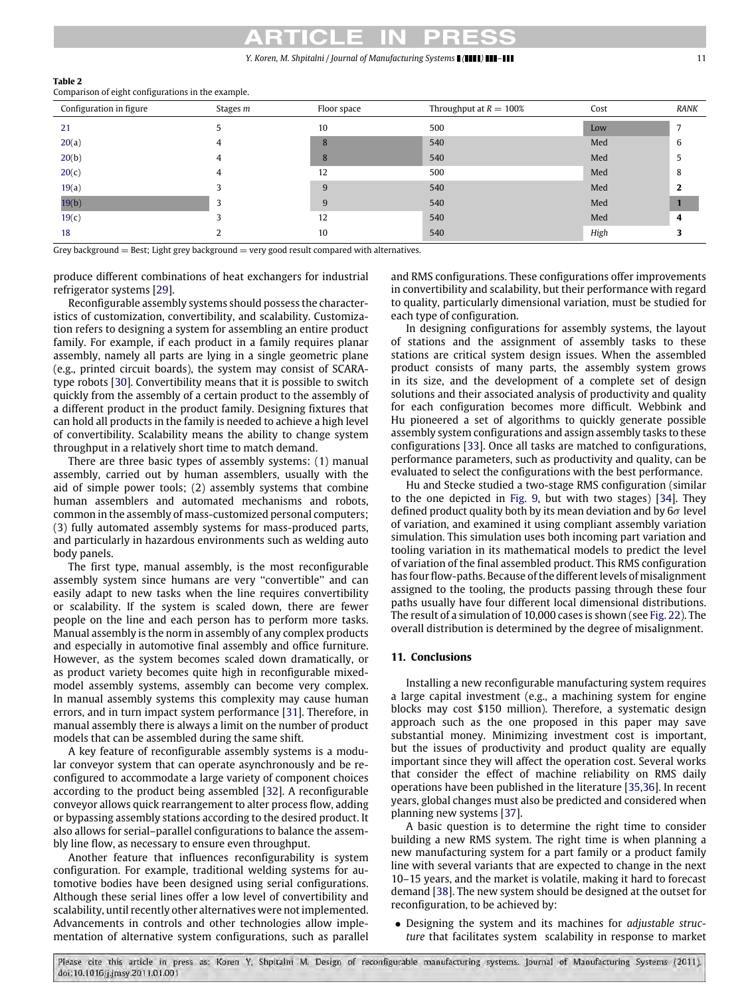#### <span id="page-10-0"></span>**Table 2**

Comparison of eight configurations in the example.

| Configuration in figure | Stages m | Floor space | Throughput at $R = 100\%$ | Cost | <b>RANK</b>  |
|-------------------------|----------|-------------|---------------------------|------|--------------|
| 21                      |          | 10          | 500                       | Low  |              |
| 20(a)                   | 4        | 8           | 540                       | Med  | 6            |
| 20(b)                   | 4        | 8           | 540                       | Med  | 5            |
| 20(c)                   | 4        | 12          | 500                       | Med  | 8            |
| 19(a)                   |          | 9           | 540                       | Med  | $\mathbf{2}$ |
| 19(b)                   | 3        | 9           | 540                       | Med  |              |
| 19(c)                   |          | 12          | 540                       | Med  | 4            |
| 18                      |          | 10          | 540                       | High |              |

Grey background  $=$  Best; Light grey background  $=$  very good result compared with alternatives.

produce different combinations of heat exchangers for industrial refrigerator systems [\[29\]](#page-11-22).

Reconfigurable assembly systems should possess the characteristics of customization, convertibility, and scalability. Customization refers to designing a system for assembling an entire product family. For example, if each product in a family requires planar assembly, namely all parts are lying in a single geometric plane (e.g., printed circuit boards), the system may consist of SCARAtype robots [\[30\]](#page-11-23). Convertibility means that it is possible to switch quickly from the assembly of a certain product to the assembly of a different product in the product family. Designing fixtures that can hold all products in the family is needed to achieve a high level of convertibility. Scalability means the ability to change system throughput in a relatively short time to match demand.

There are three basic types of assembly systems: (1) manual assembly, carried out by human assemblers, usually with the aid of simple power tools; (2) assembly systems that combine human assemblers and automated mechanisms and robots, common in the assembly of mass-customized personal computers; (3) fully automated assembly systems for mass-produced parts, and particularly in hazardous environments such as welding auto body panels.

The first type, manual assembly, is the most reconfigurable assembly system since humans are very ''convertible'' and can easily adapt to new tasks when the line requires convertibility or scalability. If the system is scaled down, there are fewer people on the line and each person has to perform more tasks. Manual assembly is the norm in assembly of any complex products and especially in automotive final assembly and office furniture. However, as the system becomes scaled down dramatically, or as product variety becomes quite high in reconfigurable mixedmodel assembly systems, assembly can become very complex. In manual assembly systems this complexity may cause human errors, and in turn impact system performance [\[31\]](#page-11-24). Therefore, in manual assembly there is always a limit on the number of product models that can be assembled during the same shift.

A key feature of reconfigurable assembly systems is a modular conveyor system that can operate asynchronously and be reconfigured to accommodate a large variety of component choices according to the product being assembled [\[32\]](#page-11-25). A reconfigurable conveyor allows quick rearrangement to alter process flow, adding or bypassing assembly stations according to the desired product. It also allows for serial–parallel configurations to balance the assembly line flow, as necessary to ensure even throughput.

Another feature that influences reconfigurability is system configuration. For example, traditional welding systems for automotive bodies have been designed using serial configurations. Although these serial lines offer a low level of convertibility and scalability, until recently other alternatives were not implemented. Advancements in controls and other technologies allow implementation of alternative system configurations, such as parallel and RMS configurations. These configurations offer improvements in convertibility and scalability, but their performance with regard to quality, particularly dimensional variation, must be studied for each type of configuration.

In designing configurations for assembly systems, the layout of stations and the assignment of assembly tasks to these stations are critical system design issues. When the assembled product consists of many parts, the assembly system grows in its size, and the development of a complete set of design solutions and their associated analysis of productivity and quality for each configuration becomes more difficult. Webbink and Hu pioneered a set of algorithms to quickly generate possible assembly system configurations and assign assembly tasks to these configurations [\[33\]](#page-11-26). Once all tasks are matched to configurations, performance parameters, such as productivity and quality, can be evaluated to select the configurations with the best performance.

Hu and Stecke studied a two-stage RMS configuration (similar to the one depicted in [Fig. 9,](#page-5-3) but with two stages) [\[34\]](#page-11-27). They defined product quality both by its mean deviation and by  $6\sigma$  level of variation, and examined it using compliant assembly variation simulation. This simulation uses both incoming part variation and tooling variation in its mathematical models to predict the level of variation of the final assembled product. This RMS configuration has four flow-paths. Because of the different levels of misalignment assigned to the tooling, the products passing through these four paths usually have four different local dimensional distributions. The result of a simulation of 10,000 cases is shown (see [Fig. 22\)](#page-11-28). The overall distribution is determined by the degree of misalignment.

#### **11. Conclusions**

Installing a new reconfigurable manufacturing system requires a large capital investment (e.g., a machining system for engine blocks may cost \$150 million). Therefore, a systematic design approach such as the one proposed in this paper may save substantial money. Minimizing investment cost is important, but the issues of productivity and product quality are equally important since they will affect the operation cost. Several works that consider the effect of machine reliability on RMS daily operations have been published in the literature [\[35](#page-11-29)[,36\]](#page-11-30). In recent years, global changes must also be predicted and considered when planning new systems [\[37\]](#page-11-31).

A basic question is to determine the right time to consider building a new RMS system. The right time is when planning a new manufacturing system for a part family or a product family line with several variants that are expected to change in the next 10–15 years, and the market is volatile, making it hard to forecast demand [\[38\]](#page-11-32). The new system should be designed at the outset for reconfiguration, to be achieved by:

• Designing the system and its machines for *adjustable structure* that facilitates system scalability in response to market